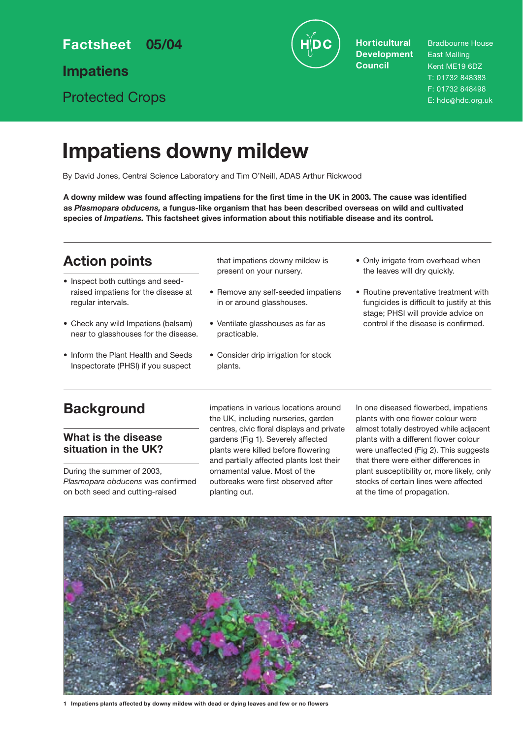**Factsheet 05/04**

**Impatiens**

Protected Crops



**Horticultural Development Council**

Bradbourne House East Malling Kent ME19 6DZ T: 01732 848383 F: 01732 848498 E: hdc@hdc.org.uk

# **Impatiens downy mildew**

By David Jones, Central Science Laboratory and Tim O'Neill, ADAS Arthur Rickwood

**A downy mildew was found affecting impatiens for the first time in the UK in 2003. The cause was identified as** *Plasmopara obducens,* **a fungus-like organism that has been described overseas on wild and cultivated species of** *Impatiens.* **This factsheet gives information about this notifiable disease and its control.**

## **Action points**

- Inspect both cuttings and seedraised impatiens for the disease at regular intervals.
- Check any wild Impatiens (balsam) near to glasshouses for the disease.
- Inform the Plant Health and Seeds Inspectorate (PHSI) if you suspect

that impatiens downy mildew is present on your nursery.

- Remove any self-seeded impatiens in or around glasshouses.
- Ventilate glasshouses as far as practicable.
- Consider drip irrigation for stock plants.
- Only irrigate from overhead when the leaves will dry quickly.
- Routine preventative treatment with fungicides is difficult to justify at this stage; PHSI will provide advice on control if the disease is confirmed.

## **Background**

## **What is the disease situation in the UK?**

During the summer of 2003, *Plasmopara obducens* was confirmed on both seed and cutting-raised

impatiens in various locations around the UK, including nurseries, garden centres, civic floral displays and private gardens (Fig 1). Severely affected plants were killed before flowering and partially affected plants lost their ornamental value. Most of the outbreaks were first observed after planting out.

In one diseased flowerbed, impatiens plants with one flower colour were almost totally destroyed while adjacent plants with a different flower colour were unaffected (Fig 2). This suggests that there were either differences in plant susceptibility or, more likely, only stocks of certain lines were affected at the time of propagation.



**1 Impatiens plants affected by downy mildew with dead or dying leaves and few or no flowers**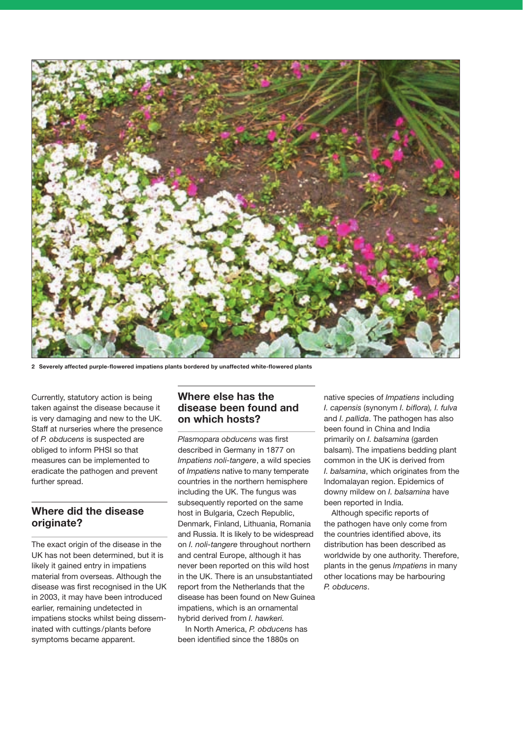

**2 Severely affected purple-flowered impatiens plants bordered by unaffected white-flowered plants**

Currently, statutory action is being taken against the disease because it is very damaging and new to the UK. Staff at nurseries where the presence of *P. obducens* is suspected are obliged to inform PHSI so that measures can be implemented to eradicate the pathogen and prevent further spread.

### **Where did the disease originate?**

The exact origin of the disease in the UK has not been determined, but it is likely it gained entry in impatiens material from overseas. Although the disease was first recognised in the UK in 2003, it may have been introduced earlier, remaining undetected in impatiens stocks whilst being disseminated with cuttings/plants before symptoms became apparent.

### **Where else has the disease been found and on which hosts?**

*Plasmopara obducens* was first described in Germany in 1877 on *Impatiens noli-tangere*, a wild species of *Impatiens* native to many temperate countries in the northern hemisphere including the UK. The fungus was subsequently reported on the same host in Bulgaria, Czech Republic, Denmark, Finland, Lithuania, Romania and Russia. It is likely to be widespread on *I. noli-tangere* throughout northern and central Europe, although it has never been reported on this wild host in the UK. There is an unsubstantiated report from the Netherlands that the disease has been found on New Guinea impatiens, which is an ornamental hybrid derived from *I. hawkeri.*

In North America, *P. obducens* has been identified since the 1880s on

native species of *Impatiens* including *I. capensis* (synonym *I. biflora*)*, I. fulva* and *I. pallida*. The pathogen has also been found in China and India primarily on *I. balsamina* (garden balsam). The impatiens bedding plant common in the UK is derived from *I. balsamina*, which originates from the Indomalayan region. Epidemics of downy mildew on *I. balsamina* have been reported in India.

Although specific reports of the pathogen have only come from the countries identified above, its distribution has been described as worldwide by one authority. Therefore, plants in the genus *Impatiens* in many other locations may be harbouring *P. obducens*.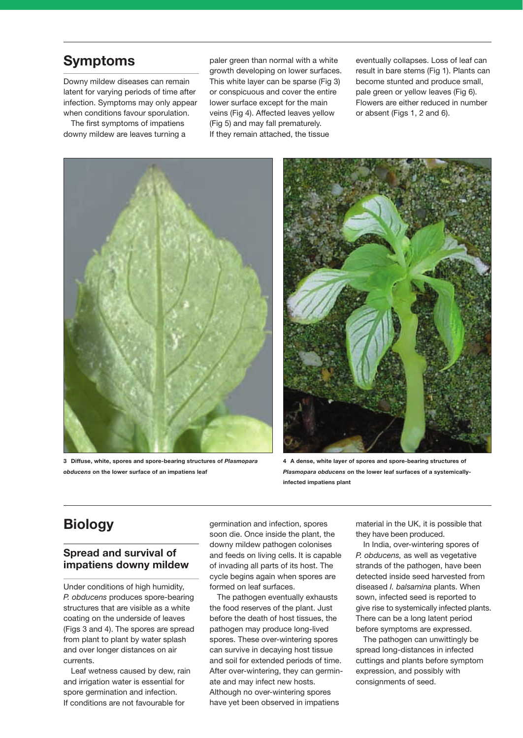## **Symptoms**

Downy mildew diseases can remain latent for varying periods of time after infection. Symptoms may only appear when conditions favour sporulation.

The first symptoms of impatiens downy mildew are leaves turning a paler green than normal with a white growth developing on lower surfaces. This white layer can be sparse (Fig 3) or conspicuous and cover the entire lower surface except for the main veins (Fig 4). Affected leaves yellow (Fig 5) and may fall prematurely. If they remain attached, the tissue

eventually collapses. Loss of leaf can result in bare stems (Fig 1). Plants can become stunted and produce small, pale green or yellow leaves (Fig 6). Flowers are either reduced in number or absent (Figs 1, 2 and 6).



**3 Diffuse, white, spores and spore-bearing structures of** *Plasmopara obducens* **on the lower surface of an impatiens leaf**



**4 A dense, white layer of spores and spore-bearing structures of** *Plasmopara obducens* **on the lower leaf surfaces of a systemicallyinfected impatiens plant**

## **Biology**

### **Spread and survival of impatiens downy mildew**

Under conditions of high humidity, *P. obducens* produces spore-bearing structures that are visible as a white coating on the underside of leaves (Figs 3 and 4). The spores are spread from plant to plant by water splash and over longer distances on air currents.

Leaf wetness caused by dew, rain and irrigation water is essential for spore germination and infection. If conditions are not favourable for

germination and infection, spores soon die. Once inside the plant, the downy mildew pathogen colonises and feeds on living cells. It is capable of invading all parts of its host. The cycle begins again when spores are formed on leaf surfaces.

The pathogen eventually exhausts the food reserves of the plant. Just before the death of host tissues, the pathogen may produce long-lived spores. These over-wintering spores can survive in decaying host tissue and soil for extended periods of time. After over-wintering, they can germinate and may infect new hosts. Although no over-wintering spores have yet been observed in impatiens

material in the UK, it is possible that they have been produced.

In India, over-wintering spores of *P. obducens,* as well as vegetative strands of the pathogen, have been detected inside seed harvested from diseased *I. balsamina* plants. When sown, infected seed is reported to give rise to systemically infected plants. There can be a long latent period before symptoms are expressed.

The pathogen can unwittingly be spread long-distances in infected cuttings and plants before symptom expression, and possibly with consignments of seed.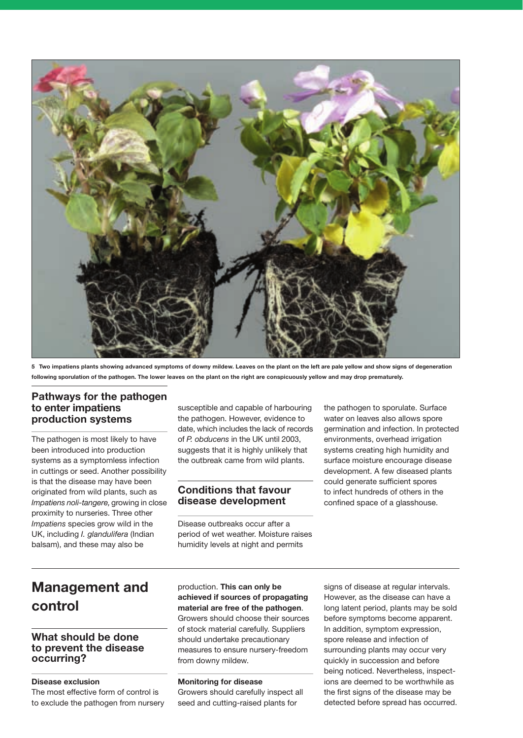

**5 Two impatiens plants showing advanced symptoms of downy mildew. Leaves on the plant on the left are pale yellow and show signs of degeneration following sporulation of the pathogen. The lower leaves on the plant on the right are conspicuously yellow and may drop prematurely.**

## **Pathways for the pathogen to enter impatiens production systems**

The pathogen is most likely to have been introduced into production systems as a symptomless infection in cuttings or seed. Another possibility is that the disease may have been originated from wild plants, such as *Impatiens noli-tangere,* growing in close proximity to nurseries. Three other *Impatiens* species grow wild in the UK, including *I. glandulifera* (Indian balsam), and these may also be

susceptible and capable of harbouring the pathogen. However, evidence to date, which includes the lack of records of *P. obducens* in the UK until 2003, suggests that it is highly unlikely that the outbreak came from wild plants.

### **Conditions that favour disease development**

Disease outbreaks occur after a period of wet weather. Moisture raises humidity levels at night and permits

the pathogen to sporulate. Surface water on leaves also allows spore germination and infection. In protected environments, overhead irrigation systems creating high humidity and surface moisture encourage disease development. A few diseased plants could generate sufficient spores to infect hundreds of others in the confined space of a glasshouse.

## **Management and control**

### **What should be done to prevent the disease occurring?**

#### **Disease exclusion**

The most effective form of control is to exclude the pathogen from nursery production. **This can only be achieved if sources of propagating material are free of the pathogen**. Growers should choose their sources of stock material carefully. Suppliers should undertake precautionary measures to ensure nursery-freedom from downy mildew.

#### **Monitoring for disease**

Growers should carefully inspect all seed and cutting-raised plants for

signs of disease at regular intervals. However, as the disease can have a long latent period, plants may be sold before symptoms become apparent. In addition, symptom expression, spore release and infection of surrounding plants may occur very quickly in succession and before being noticed. Nevertheless, inspections are deemed to be worthwhile as the first signs of the disease may be detected before spread has occurred.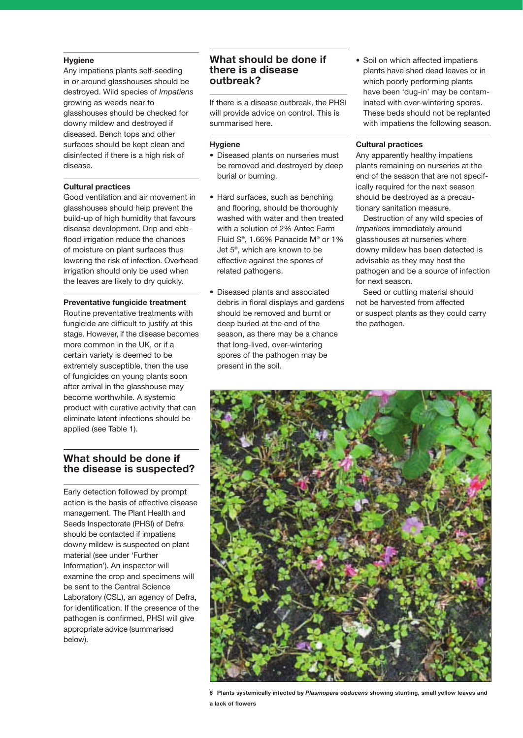#### **Hygiene**

Any impatiens plants self-seeding in or around glasshouses should be destroyed. Wild species of *Impatiens* growing as weeds near to glasshouses should be checked for downy mildew and destroyed if diseased. Bench tops and other surfaces should be kept clean and disinfected if there is a high risk of disease.

#### **Cultural practices**

Good ventilation and air movement in glasshouses should help prevent the build-up of high humidity that favours disease development. Drip and ebbflood irrigation reduce the chances of moisture on plant surfaces thus lowering the risk of infection. Overhead irrigation should only be used when the leaves are likely to dry quickly.

#### **Preventative fungicide treatment**

Routine preventative treatments with fungicide are difficult to justify at this stage. However, if the disease becomes more common in the UK, or if a certain variety is deemed to be extremely susceptible, then the use of fungicides on young plants soon after arrival in the glasshouse may become worthwhile. A systemic product with curative activity that can eliminate latent infections should be applied (see Table 1).

#### **What should be done if the disease is suspected?**

Early detection followed by prompt action is the basis of effective disease management. The Plant Health and Seeds Inspectorate (PHSI) of Defra should be contacted if impatiens downy mildew is suspected on plant material (see under 'Further Information'). An inspector will examine the crop and specimens will be sent to the Central Science Laboratory (CSL), an agency of Defra, for identification. If the presence of the pathogen is confirmed, PHSI will give appropriate advice (summarised below).

### **What should be done if there is a disease outbreak?**

If there is a disease outbreak, the PHSI will provide advice on control. This is summarised here.

#### **Hygiene**

- Diseased plants on nurseries must be removed and destroyed by deep burial or burning.
- Hard surfaces, such as benching and flooring, should be thoroughly washed with water and then treated with a solution of 2% Antec Farm Fluid S®, 1.66% Panacide M® or 1% Jet 5®, which are known to be effective against the spores of related pathogens.
- Diseased plants and associated debris in floral displays and gardens should be removed and burnt or deep buried at the end of the season, as there may be a chance that long-lived, over-wintering spores of the pathogen may be present in the soil.

• Soil on which affected impatiens plants have shed dead leaves or in which poorly performing plants have been 'dug-in' may be contaminated with over-wintering spores. These beds should not be replanted with impatiens the following season.

#### **Cultural practices**

Any apparently healthy impatiens plants remaining on nurseries at the end of the season that are not specifically required for the next season should be destroyed as a precautionary sanitation measure.

Destruction of any wild species of *Impatiens* immediately around glasshouses at nurseries where downy mildew has been detected is advisable as they may host the pathogen and be a source of infection for next season.

Seed or cutting material should not be harvested from affected or suspect plants as they could carry the pathogen.



**6 Plants systemically infected by** *Plasmopara obducens* **showing stunting, small yellow leaves and a lack of flowers**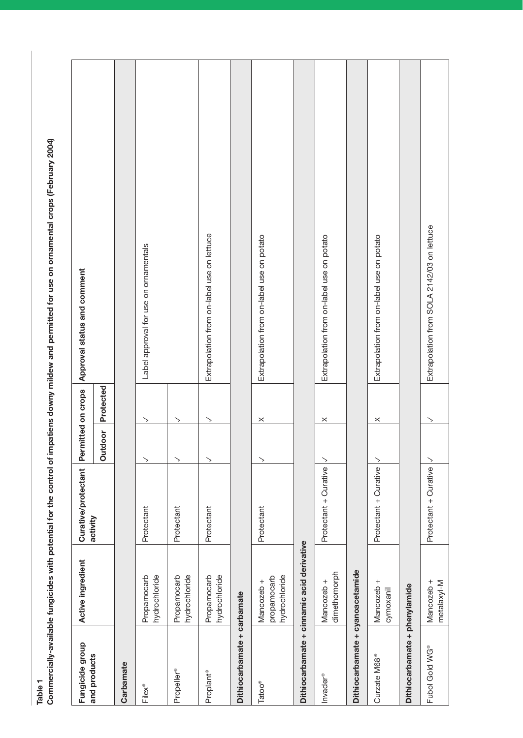Table 1<br>Commercially-available fungicides with potential for the control of impatiens downy mildew and permitted for use on ornamental crops (February 2004) **Commercially-available fungicides with potential for the control of impatiens downy mildew and permitted for use on ornamental crops (February 2004)**

| and products                     | Active ingredient                          | Curative/protectant   | Permitted on crops       |           | Approval status and comment                |
|----------------------------------|--------------------------------------------|-----------------------|--------------------------|-----------|--------------------------------------------|
|                                  |                                            | activity              | Outdoor                  | Protected |                                            |
| Carbamate                        |                                            |                       |                          |           |                                            |
| Filex®                           | hydrochloride<br>Propamocarb               | Protectant            | $\scriptstyle\diagup$    | ↘         | Label approval for use on ornamentals      |
| Propeller®                       | hydrochloride<br>Propamocarb               | Protectant            | $\rightarrow$            | ╲         |                                            |
| Proplant®                        | hydrochloride<br>Propamocarb               | Protectant            | $\mathord{>}$            | ╲         | Extrapolation from on-label use on lettuce |
| Dithiocarbamate + carbamate      |                                            |                       |                          |           |                                            |
| <b>Tatoo®</b>                    | hydrochloride<br>propamocarb<br>Mancozeb + | Protectant            | $\scriptstyle\diagup$    | $\times$  | Extrapolation from on-label use on potato  |
|                                  | Dithiocarbamate + cinnamic acid derivative |                       |                          |           |                                            |
| Invader®                         | dimethomorph<br>Mancozeb +                 | Protectant + Curative | $\geq$                   | $\times$  | Extrapolation from on-label use on potato  |
| Dithiocarbamate + cyanoacetamide |                                            |                       |                          |           |                                            |
| Curzate M68 <sup>®</sup>         | $\,^+$<br>Mancozeb<br>cymoxanil            | Protectant + Curative | $\geq$                   | $\times$  | Extrapolation from on-label use on potato  |
| Dithiocarbamate + phenylamide    |                                            |                       |                          |           |                                            |
| Fubol Gold WG <sup>®</sup>       | Mancozeb +<br>metalaxyl-M                  | Protectant + Curative | $\overline{\phantom{1}}$ | ↘         | Extrapolation from SOLA 2142/03 on lettuce |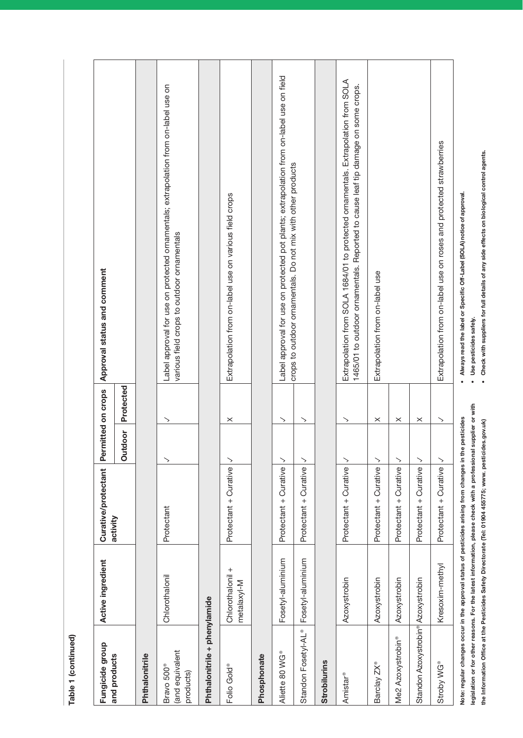| b |
|---|
| h |
|   |

| Fungicide group                                       | Active ingredient               | Curative/protectant                                                                                                                                                                                                        | Permitted on crops    |                       | Approval status and comment                                                                                                                                           |
|-------------------------------------------------------|---------------------------------|----------------------------------------------------------------------------------------------------------------------------------------------------------------------------------------------------------------------------|-----------------------|-----------------------|-----------------------------------------------------------------------------------------------------------------------------------------------------------------------|
| and products                                          |                                 | activity                                                                                                                                                                                                                   | Outdoor               | Protected             |                                                                                                                                                                       |
| Phthalonitrile                                        |                                 |                                                                                                                                                                                                                            |                       |                       |                                                                                                                                                                       |
| and equivalent<br>Bravo 500 <sup>®</sup><br>products) | Chlorothalonil                  | Protectant                                                                                                                                                                                                                 | ゝ                     | ゝ                     | Label approval for use on protected ornamentals; extrapolation from on-label use on<br>various field crops to outdoor ornamentals                                     |
| Phthalonitrile + phenylamide                          |                                 |                                                                                                                                                                                                                            |                       |                       |                                                                                                                                                                       |
| Folio Gold <sup>®</sup>                               | Chlorothalonil +<br>metalaxyl-M | Protectant + Curative                                                                                                                                                                                                      | ╲                     | $\times$              | Extrapolation from on-label use on various field crops                                                                                                                |
| Phosphonate                                           |                                 |                                                                                                                                                                                                                            |                       |                       |                                                                                                                                                                       |
| Aliette 80 WG®                                        | Fosetyl-aluminium               | Protectant + Curative                                                                                                                                                                                                      | $\scriptstyle\diagup$ | ゝ                     | Label approval for use on protected pot plants; extrapolation from on-label use on field                                                                              |
| Standon Fosetyl-AL <sup>®</sup>                       | Fosetyl-aluminium               | Protectant + Curative                                                                                                                                                                                                      | ↘                     | $\scriptstyle\diagup$ | crops to outdoor ornamentals. Do not mix with other products                                                                                                          |
| Strobilurins                                          |                                 |                                                                                                                                                                                                                            |                       |                       |                                                                                                                                                                       |
| Amistar <sup>®</sup>                                  | Azoxystrobin                    | Protectant + Curative                                                                                                                                                                                                      | $\mathord{>}$         | $\scriptstyle\diagup$ | Extrapolation from SOLA 1684/01 to protected ornamentals. Extrapolation from SOLA<br>1465/01 to outdoor ornamentals. Reported to cause leaf tip damage on some crops. |
| Barclay ZX <sup>®</sup>                               | Azoxystrobin                    | Protectant + Curative                                                                                                                                                                                                      | $\mathbin{\searrow}$  | $\times$              | Extrapolation from on-label use                                                                                                                                       |
| Me2 Azoxystrobin®                                     | Azoxystrobin                    | Protectant + Curative                                                                                                                                                                                                      | $\mathord{>}$         | $\times$              |                                                                                                                                                                       |
| Standon Azoxystrobin <sup>®</sup> Azoxystrobin        |                                 | Protectant + Curative                                                                                                                                                                                                      | $\mathord{\searrow}$  | $\times$              |                                                                                                                                                                       |
| Stroby WG <sup>®</sup>                                | Kresoxim-methyl                 | Protectant + Curative                                                                                                                                                                                                      | $\searrow$            | $\mathord{>}$         | Extrapolation from on-label use on roses and protected strawberries                                                                                                   |
|                                                       |                                 | legislation or for other reasons. For the latest information, please check with a professional supplier or with<br>Note: regular changes occur in the approval status of pesticides arising from changes in the pesticides |                       |                       | Always read the label or Specific Off-Label (SOLA) notice of approval.<br>Use pesticides safely.                                                                      |

. Check with suppliers for full details of any side effects on biological control agents. **• Check with suppliers for full details of any side effects on biological control agents.**

**the Information Office at the Pesticides Safety Directorate (Tel: 01904 455775; www. pesticides.gov.uk)**